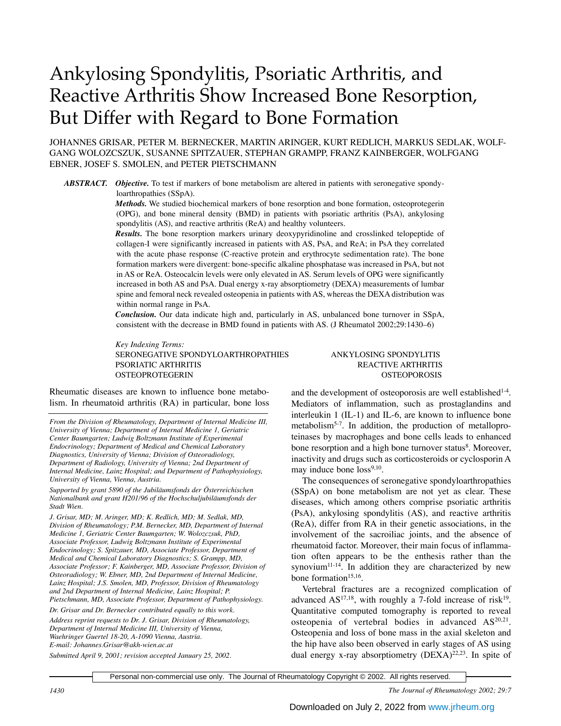# Ankylosing Spondylitis, Psoriatic Arthritis, and Reactive Arthritis Show Increased Bone Resorption, But Differ with Regard to Bone Formation

JOHANNES GRISAR, PETER M. BERNECKER, MARTIN ARINGER, KURT REDLICH, MARKUS SEDLAK, WOLF-GANG WOLOZCSZUK, SUSANNE SPITZAUER, STEPHAN GRAMPP, FRANZ KAINBERGER, WOLFGANG EBNER, JOSEF S. SMOLEN, and PETER PIETSCHMANN

*ABSTRACT. Objective.* To test if markers of bone metabolism are altered in patients with seronegative spondyloarthropathies (SSpA).

> *Methods.* We studied biochemical markers of bone resorption and bone formation, osteoprotegerin (OPG), and bone mineral density (BMD) in patients with psoriatic arthritis (PsA), ankylosing spondylitis (AS), and reactive arthritis (ReA) and healthy volunteers.

> *Results.* The bone resorption markers urinary deoxypyridinoline and crosslinked telopeptide of collagen-I were significantly increased in patients with AS, PsA, and ReA; in PsA they correlated with the acute phase response (C-reactive protein and erythrocyte sedimentation rate). The bone formation markers were divergent: bone-specific alkaline phosphatase was increased in PsA, but not in AS or ReA. Osteocalcin levels were only elevated in AS. Serum levels of OPG were significantly increased in both AS and PsA. Dual energy x-ray absorptiometry (DEXA) measurements of lumbar spine and femoral neck revealed osteopenia in patients with AS, whereas the DEXA distribution was within normal range in PsA.

> *Conclusion.* Our data indicate high and, particularly in AS, unbalanced bone turnover in SSpA, consistent with the decrease in BMD found in patients with AS. (J Rheumatol 2002;29:1430–6)

> *Key Indexing Terms:* SERONEGATIVE SPONDYLOARTHROPATHIES ANKYLOSING SPONDYLITIS PSORIATIC ARTHRITIS THE REACTIVE ARTHRITIS OSTEOPROTEGERIN OSTEOPOROSIS

Rheumatic diseases are known to influence bone metabolism. In rheumatoid arthritis (RA) in particular, bone loss

*From the Division of Rheumatology, Department of Internal Medicine III, University of Vienna; Department of Internal Medicine 1, Geriatric Center Baumgarten; Ludwig Boltzmann Institute of Experimental Endocrinology; Department of Medical and Chemical Laboratory Diagnostics, University of Vienna; Division of Osteoradiology, Department of Radiology, University of Vienna; 2nd Department of Internal Medicine, Lainz Hospital; and Department of Pathophysiology, University of Vienna, Vienna, Austria.*

*Supported by grant 5890 of the Jubiläumsfonds der Österreichischen Nationalbank and grant H201/96 of the Hochschuljubiläumsfonds der Stadt Wien.*

*J. Grisar, MD; M. Aringer, MD; K. Redlich, MD; M. Sedlak, MD, Division of Rheumatology; P.M. Bernecker, MD, Department of Internal Medicine 1, Geriatric Center Baumgarten; W. Wolozczsuk, PhD, Associate Professor, Ludwig Boltzmann Institute of Experimental Endocrinology; S. Spitzauer, MD, Associate Professor, Department of Medical and Chemical Laboratory Diagnostics; S. Grampp, MD, Associate Professor; F. Kainberger, MD, Associate Professor, Division of Osteoradiology; W. Ebner, MD, 2nd Department of Internal Medicine, Lainz Hospital; J.S. Smolen, MD, Professor, Division of Rheumatology and 2nd Department of Internal Medicine, Lainz Hospital; P. Pietschmann, MD, Associate Professor, Department of Pathophysiology.*

*Dr. Grisar and Dr. Bernecker contributed equally to this work.*

*Address reprint requests to Dr. J. Grisar, Division of Rheumatology, Department of Internal Medicine III, University of Vienna, Waehringer Guertel 18-20, A-1090 Vienna, Austria. E-mail: Johannes.Grisar@akh-wien.ac.at*

and the development of osteoporosis are well established<sup>1-4</sup>. Mediators of inflammation, such as prostaglandins and interleukin 1 (IL-1) and IL-6, are known to influence bone metabolism5-7. In addition, the production of metalloproteinases by macrophages and bone cells leads to enhanced bone resorption and a high bone turnover status<sup>8</sup>. Moreover, inactivity and drugs such as corticosteroids or cyclosporin A may induce bone loss<sup>9,10</sup>.

The consequences of seronegative spondyloarthropathies (SSpA) on bone metabolism are not yet as clear. These diseases, which among others comprise psoriatic arthritis (PsA), ankylosing spondylitis (AS), and reactive arthritis (ReA), differ from RA in their genetic associations, in the involvement of the sacroiliac joints, and the absence of rheumatoid factor. Moreover, their main focus of inflammation often appears to be the enthesis rather than the synovium<sup>11-14</sup>. In addition they are characterized by new bone formation<sup>15,16</sup>.

Vertebral fractures are a recognized complication of advanced  $AS^{17,18}$ , with roughly a 7-fold increase of risk<sup>19</sup>. Quantitative computed tomography is reported to reveal osteopenia of vertebral bodies in advanced  $AS^{20,21}$ . Osteopenia and loss of bone mass in the axial skeleton and the hip have also been observed in early stages of AS using dual energy x-ray absorptiometry (DEXA)<sup>22,23</sup>. In spite of

*Submitted April 9, 2001; revision accepted January 25, 2002*.

Personal non-commercial use only. The Journal of Rheumatology Copyright © 2002. All rights reserved.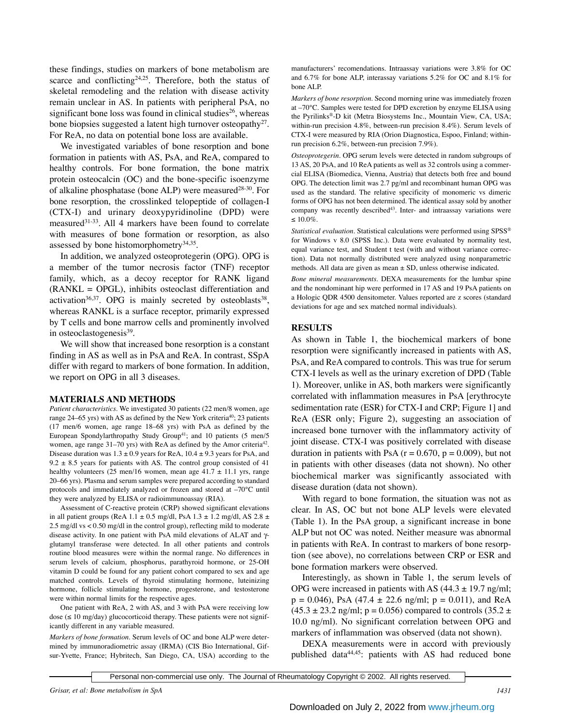these findings, studies on markers of bone metabolism are scarce and conflicting<sup>24,25</sup>. Therefore, both the status of skeletal remodeling and the relation with disease activity remain unclear in AS. In patients with peripheral PsA, no significant bone loss was found in clinical studies<sup>26</sup>, whereas bone biopsies suggested a latent high turnover osteopathy<sup>27</sup>. For ReA, no data on potential bone loss are available.

We investigated variables of bone resorption and bone formation in patients with AS, PsA, and ReA, compared to healthy controls. For bone formation, the bone matrix protein osteocalcin (OC) and the bone-specific isoenzyme of alkaline phosphatase (bone ALP) were measured<sup>28-30</sup>. For bone resorption, the crosslinked telopeptide of collagen-I (CTX-I) and urinary deoxypyridinoline (DPD) were measured31-33. All 4 markers have been found to correlate with measures of bone formation or resorption, as also assessed by bone histomorphometry $34,35$ .

In addition, we analyzed osteoprotegerin (OPG). OPG is a member of the tumor necrosis factor (TNF) receptor family, which, as a decoy receptor for RANK ligand (RANKL = OPGL), inhibits osteoclast differentiation and activation<sup>36,37</sup>. OPG is mainly secreted by osteoblasts<sup>38</sup>, whereas RANKL is a surface receptor, primarily expressed by T cells and bone marrow cells and prominently involved in osteoclastogenesis<sup>39</sup>.

We will show that increased bone resorption is a constant finding in AS as well as in PsA and ReA. In contrast, SSpA differ with regard to markers of bone formation. In addition, we report on OPG in all 3 diseases.

## **MATERIALS AND METHODS**

*Patient characteristics.* We investigated 30 patients (22 men/8 women, age range 24–65 yrs) with AS as defined by the New York criteria<sup>40</sup>; 23 patients (17 men/6 women, age range 18–68 yrs) with PsA as defined by the European Spondylarthropathy Study Group<sup>41</sup>; and 10 patients  $(5 \text{ men/}5)$ women, age range 31–70 yrs) with ReA as defined by the Amor criteria<sup>42</sup>. Disease duration was  $1.3 \pm 0.9$  years for ReA,  $10.4 \pm 9.3$  years for PsA, and 9.2  $\pm$  8.5 years for patients with AS. The control group consisted of 41 healthy volunteers (25 men/16 women, mean age  $41.7 \pm 11.1$  yrs, range 20–66 yrs). Plasma and serum samples were prepared according to standard protocols and immediately analyzed or frozen and stored at –70°C until they were analyzed by ELISA or radioimmunoassay (RIA).

Assessment of C-reactive protein (CRP) showed significant elevations in all patient groups (ReA 1.1  $\pm$  0.5 mg/dl, PsA 1.3  $\pm$  1.2 mg/dl, AS 2.8  $\pm$ 2.5 mg/dl vs < 0.50 mg/dl in the control group), reflecting mild to moderate disease activity. In one patient with PsA mild elevations of ALAT and γglutamyl transferase were detected. In all other patients and controls routine blood measures were within the normal range. No differences in serum levels of calcium, phosphorus, parathyroid hormone, or 25-OH vitamin D could be found for any patient cohort compared to sex and age matched controls. Levels of thyroid stimulating hormone, luteinizing hormone, follicle stimulating hormone, progesterone, and testosterone were within normal limits for the respective ages.

One patient with ReA, 2 with AS, and 3 with PsA were receiving low dose ( $\leq 10$  mg/day) glucocorticoid therapy. These patients were not significantly different in any variable measured.

*Markers of bone formation.* Serum levels of OC and bone ALP were determined by immunoradiometric assay (IRMA) (CIS Bio International, Gifsur-Yvette, France; Hybritech, San Diego, CA, USA) according to the

manufacturers' recomendations. Intraassay variations were 3.8% for OC and 6.7% for bone ALP, interassay variations 5.2% for OC and 8.1% for bone ALP.

*Markers of bone resorption.* Second morning urine was immediately frozen at –70°C. Samples were tested for DPD excretion by enzyme ELISA using the Pyrilinks®-D kit (Metra Biosystems Inc., Mountain View, CA, USA; within-run precision 4.8%, between-run precision 8.4%). Serum levels of CTX-I were measured by RIA (Orion Diagnostica, Espoo, Finland; withinrun precision 6.2%, between-run precision 7.9%).

*Osteoprotegerin.* OPG serum levels were detected in random subgroups of 13 AS, 20 PsA, and 10 ReA patients as well as 32 controls using a commercial ELISA (Biomedica, Vienna, Austria) that detects both free and bound OPG. The detection limit was 2.7 pg/ml and recombinant human OPG was used as the standard. The relative specificity of monomeric vs dimeric forms of OPG has not been determined. The identical assay sold by another company was recently described<sup>43</sup>. Inter- and intraassay variations were ≤ 10.0%.

*Statistical evaluation.* Statistical calculations were performed using SPSS® for Windows v 8.0 (SPSS Inc.). Data were evaluated by normality test, equal variance test, and Student t test (with and without variance correction). Data not normally distributed were analyzed using nonparametric methods. All data are given as mean  $\pm$  SD, unless otherwise indicated.

*Bone mineral measurements.* DEXA measurements for the lumbar spine and the nondominant hip were performed in 17 AS and 19 PsA patients on a Hologic QDR 4500 densitometer. Values reported are z scores (standard deviations for age and sex matched normal individuals).

# **RESULTS**

As shown in Table 1, the biochemical markers of bone resorption were significantly increased in patients with AS, PsA, and ReA compared to controls. This was true for serum CTX-I levels as well as the urinary excretion of DPD (Table 1). Moreover, unlike in AS, both markers were significantly correlated with inflammation measures in PsA [erythrocyte sedimentation rate (ESR) for CTX-I and CRP; Figure 1] and ReA (ESR only; Figure 2), suggesting an association of increased bone turnover with the inflammatory activity of joint disease. CTX-I was positively correlated with disease duration in patients with PsA ( $r = 0.670$ ,  $p = 0.009$ ), but not in patients with other diseases (data not shown). No other biochemical marker was significantly associated with disease duration (data not shown).

With regard to bone formation, the situation was not as clear. In AS, OC but not bone ALP levels were elevated (Table 1). In the PsA group, a significant increase in bone ALP but not OC was noted. Neither measure was abnormal in patients with ReA. In contrast to markers of bone resorption (see above), no correlations between CRP or ESR and bone formation markers were observed.

Interestingly, as shown in Table 1, the serum levels of OPG were increased in patients with AS  $(44.3 \pm 19.7 \text{ ng/ml})$ ;  $p = 0.046$ , PsA (47.4  $\pm$  22.6 ng/ml;  $p = 0.011$ ), and ReA  $(45.3 \pm 23.2 \text{ ng/ml}; \text{ p} = 0.056)$  compared to controls  $(35.2 \pm 1.0 \text{ g/mol})$ 10.0 ng/ml). No significant correlation between OPG and markers of inflammation was observed (data not shown).

DEXA measurements were in accord with previously published data<sup>44,45</sup>: patients with AS had reduced bone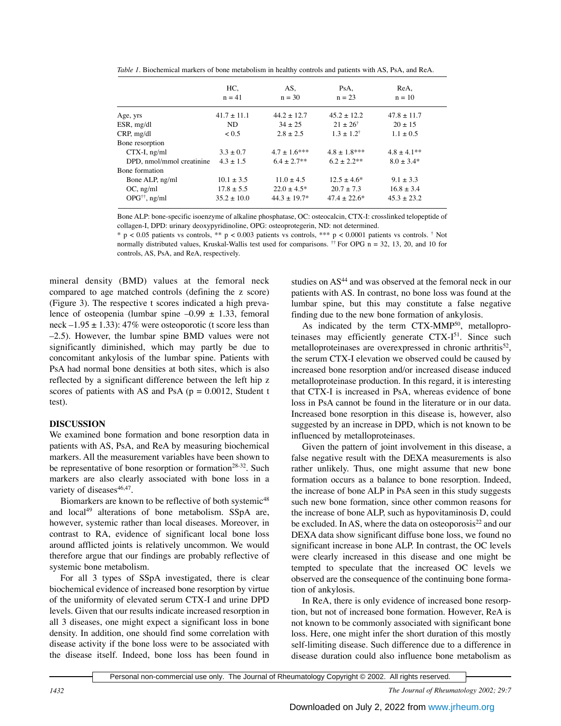*Table 1.* Biochemical markers of bone metabolism in healthy controls and patients with AS, PsA, and ReA.

|                                | HC.<br>$n = 41$ | AS,<br>$n = 30$   | PsA,<br>$n = 23$      | ReA,<br>$n = 10$ |
|--------------------------------|-----------------|-------------------|-----------------------|------------------|
| Age, yrs                       | $41.7 \pm 11.1$ | $44.2 + 12.7$     | $45.2 + 12.2$         | $47.8 \pm 11.7$  |
| $ESR$ , mg/dl                  | ND              | $34 + 25$         | $21 + 26^{\dagger}$   | $20 + 15$        |
| CRP, mg/dl                     | < 0.5           | $2.8 + 2.5$       | $1.3 + 1.2^{\dagger}$ | $1.1 \pm 0.5$    |
| Bone resorption                |                 |                   |                       |                  |
| $CTX-I$ , ng/ml                | $3.3 \pm 0.7$   | $4.7 \pm 1.6$ *** | $4.8 \pm 1.8***$      | $4.8 \pm 4.1$ ** |
| DPD, nmol/mmol creatinine      | $4.3 \pm 1.5$   | $6.4 + 2.7**$     | $6.2 + 2.2**$         | $8.0 + 3.4*$     |
| Bone formation                 |                 |                   |                       |                  |
| Bone ALP, ng/ml                | $10.1 \pm 3.5$  | $11.0 \pm 4.5$    | $12.5 + 4.6*$         | $9.1 \pm 3.3$    |
| $OC$ , ng/ml                   | $17.8 \pm 5.5$  | $22.0 + 4.5*$     | $20.7 + 7.3$          | $16.8 \pm 3.4$   |
| $OPG^{\dagger\dagger}$ , ng/ml | $35.2 \pm 10.0$ | $44.3 + 19.7*$    | $47.4 + 22.6*$        | $45.3 \pm 23.2$  |

Bone ALP: bone-specific isoenzyme of alkaline phosphatase, OC: osteocalcin, CTX-I: crosslinked telopeptide of collagen-I, DPD: urinary deoxypyridinoline, OPG: osteoprotegerin, ND: not determined.

 $*$  p < 0.05 patients vs controls,  $**$  p < 0.003 patients vs controls,  $***$  p < 0.0001 patients vs controls. † Not normally distributed values, Kruskal-Wallis test used for comparisons. <sup>††</sup> For OPG  $n = 32, 13, 20$ , and 10 for controls, AS, PsA, and ReA, respectively.

mineral density (BMD) values at the femoral neck compared to age matched controls (defining the z score) (Figure 3). The respective t scores indicated a high prevalence of osteopenia (lumbar spine  $-0.99 \pm 1.33$ , femoral neck –1.95  $\pm$  1.33): 47% were osteoporotic (t score less than –2.5). However, the lumbar spine BMD values were not significantly diminished, which may partly be due to concomitant ankylosis of the lumbar spine. Patients with PsA had normal bone densities at both sites, which is also reflected by a significant difference between the left hip z scores of patients with AS and PsA ( $p = 0.0012$ , Student t test).

# **DISCUSSION**

We examined bone formation and bone resorption data in patients with AS, PsA, and ReA by measuring biochemical markers. All the measurement variables have been shown to be representative of bone resorption or formation<sup>28-32</sup>. Such markers are also clearly associated with bone loss in a variety of diseases<sup>46,47</sup>.

Biomarkers are known to be reflective of both systemic<sup>48</sup> and local<sup>49</sup> alterations of bone metabolism. SSpA are, however, systemic rather than local diseases. Moreover, in contrast to RA, evidence of significant local bone loss around afflicted joints is relatively uncommon. We would therefore argue that our findings are probably reflective of systemic bone metabolism.

For all 3 types of SSpA investigated, there is clear biochemical evidence of increased bone resorption by virtue of the uniformity of elevated serum CTX-I and urine DPD levels. Given that our results indicate increased resorption in all 3 diseases, one might expect a significant loss in bone density. In addition, one should find some correlation with disease activity if the bone loss were to be associated with the disease itself. Indeed, bone loss has been found in studies on AS<sup>44</sup> and was observed at the femoral neck in our patients with AS. In contrast, no bone loss was found at the lumbar spine, but this may constitute a false negative finding due to the new bone formation of ankylosis.

As indicated by the term CTX-MMP<sup>50</sup>, metalloproteinases may efficiently generate  $CTX-I<sup>51</sup>$ . Since such metalloproteinases are overexpressed in chronic arthritis<sup>52</sup>, the serum CTX-I elevation we observed could be caused by increased bone resorption and/or increased disease induced metalloproteinase production. In this regard, it is interesting that CTX-I is increased in PsA, whereas evidence of bone loss in PsA cannot be found in the literature or in our data. Increased bone resorption in this disease is, however, also suggested by an increase in DPD, which is not known to be influenced by metalloproteinases.

Given the pattern of joint involvement in this disease, a false negative result with the DEXA measurements is also rather unlikely. Thus, one might assume that new bone formation occurs as a balance to bone resorption. Indeed, the increase of bone ALP in PsA seen in this study suggests such new bone formation, since other common reasons for the increase of bone ALP, such as hypovitaminosis D, could be excluded. In AS, where the data on osteoporosis<sup>22</sup> and our DEXA data show significant diffuse bone loss, we found no significant increase in bone ALP. In contrast, the OC levels were clearly increased in this disease and one might be tempted to speculate that the increased OC levels we observed are the consequence of the continuing bone formation of ankylosis.

In ReA, there is only evidence of increased bone resorption, but not of increased bone formation. However, ReA is not known to be commonly associated with significant bone loss. Here, one might infer the short duration of this mostly self-limiting disease. Such difference due to a difference in disease duration could also influence bone metabolism as

*1432 The Journal of Rheumatology 2002; 29:7*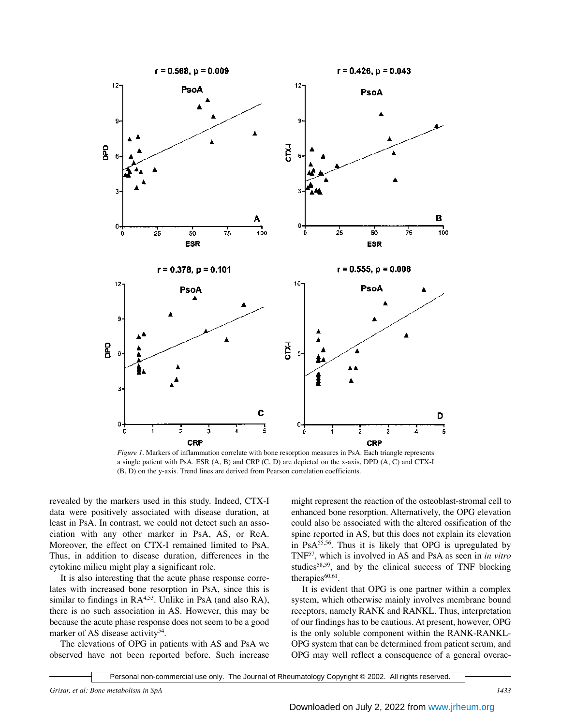

*Figure 1.* Markers of inflammation correlate with bone resorption measures in PsA. Each triangle represents a single patient with PsA. ESR (A, B) and CRP (C, D) are depicted on the x-axis, DPD (A, C) and CTX-I (B, D) on the y-axis. Trend lines are derived from Pearson correlation coefficients.

revealed by the markers used in this study. Indeed, CTX-I data were positively associated with disease duration, at least in PsA. In contrast, we could not detect such an association with any other marker in PsA, AS, or ReA. Moreover, the effect on CTX-I remained limited to PsA. Thus, in addition to disease duration, differences in the cytokine milieu might play a significant role.

It is also interesting that the acute phase response correlates with increased bone resorption in PsA, since this is similar to findings in RA<sup>4,53</sup>. Unlike in PsA (and also RA), there is no such association in AS. However, this may be because the acute phase response does not seem to be a good marker of AS disease activity<sup>54</sup>.

The elevations of OPG in patients with AS and PsA we observed have not been reported before. Such increase

might represent the reaction of the osteoblast-stromal cell to enhanced bone resorption. Alternatively, the OPG elevation could also be associated with the altered ossification of the spine reported in AS, but this does not explain its elevation in PsA55,56. Thus it is likely that OPG is upregulated by TNF57, which is involved in AS and PsA as seen in *in vitro* studies<sup>58,59</sup>, and by the clinical success of TNF blocking therapies $60,61$ .

It is evident that OPG is one partner within a complex system, which otherwise mainly involves membrane bound receptors, namely RANK and RANKL. Thus, interpretation of our findings has to be cautious. At present, however, OPG is the only soluble component within the RANK-RANKL-OPG system that can be determined from patient serum, and OPG may well reflect a consequence of a general overac-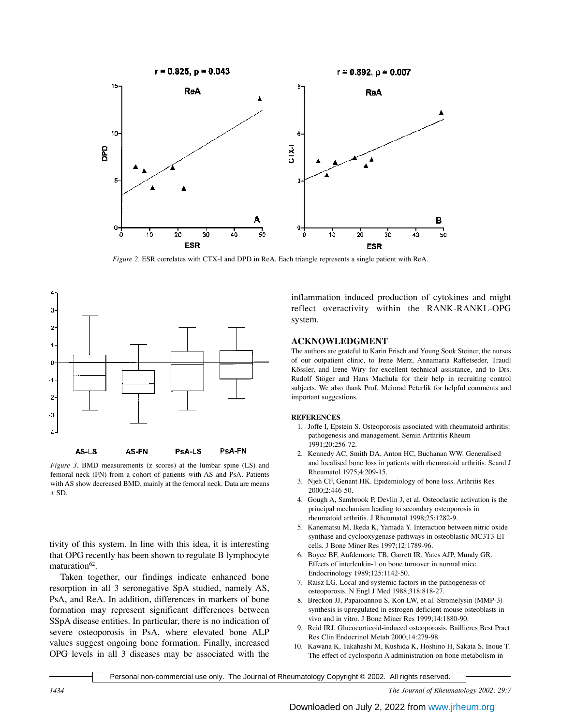

*Figure 2.* ESR correlates with CTX-I and DPD in ReA. Each triangle represents a single patient with ReA.



*Figure 3.* BMD measurements (z scores) at the lumbar spine (LS) and femoral neck (FN) from a cohort of patients with AS and PsA. Patients with AS show decreased BMD, mainly at the femoral neck. Data are means  $\pm$  SD.

tivity of this system. In line with this idea, it is interesting that OPG recently has been shown to regulate B lymphocyte maturation<sup>62</sup>.

Taken together, our findings indicate enhanced bone resorption in all 3 seronegative SpA studied, namely AS, PsA, and ReA. In addition, differences in markers of bone formation may represent significant differences between SSpA disease entities. In particular, there is no indication of severe osteoporosis in PsA, where elevated bone ALP values suggest ongoing bone formation. Finally, increased OPG levels in all 3 diseases may be associated with the

inflammation induced production of cytokines and might reflect overactivity within the RANK-RANKL-OPG system.

### **ACKNOWLEDGMENT**

The authors are grateful to Karin Frisch and Young Sook Steiner, the nurses of our outpatient clinic, to Irene Merz, Annamaria Raffetseder, Traudl Kössler, and Irene Wiry for excellent technical assistance, and to Drs. Rudolf Stöger and Hans Machula for their help in recruiting control subjects. We also thank Prof. Meinrad Peterlik for helpful comments and important suggestions.

#### **REFERENCES**

- 1. Joffe I, Epstein S. Osteoporosis associated with rheumatoid arthritis: pathogenesis and management. Semin Arthritis Rheum 1991;20:256-72.
- 2. Kennedy AC, Smith DA, Anton HC, Buchanan WW. Generalised and localised bone loss in patients with rheumatoid arthritis. Scand J Rheumatol 1975;4:209-15.
- 3. Njeh CF, Genant HK. Epidemiology of bone loss. Arthritis Res 2000;2:446-50.
- 4. Gough A, Sambrook P, Devlin J, et al. Osteoclastic activation is the principal mechanism leading to secondary osteoporosis in rheumatoid arthritis. J Rheumatol 1998;25:1282-9.
- 5. Kanematsu M, Ikeda K, Yamada Y. Interaction between nitric oxide synthase and cyclooxygenase pathways in osteoblastic MC3T3-E1 cells. J Bone Miner Res 1997;12:1789-96.
- 6. Boyce BF, Aufdemorte TB, Garrett IR, Yates AJP, Mundy GR. Effects of interleukin-1 on bone turnover in normal mice. Endocrinology 1989;125:1142-50.
- 7. Raisz LG. Local and systemic factors in the pathogenesis of osteoporosis. N Engl J Med 1988;318:818-27.
- 8. Breckon JJ, Papaioannou S, Kon LW, et al. Stromelysin (MMP-3) synthesis is upregulated in estrogen-deficient mouse osteoblasts in vivo and in vitro. J Bone Miner Res 1999;14:1880-90.
- 9. Reid IRJ. Glucocorticoid-induced osteoporosis. Baillieres Best Pract Res Clin Endocrinol Metab 2000;14:279-98.
- 10. Kawana K, Takahashi M, Kushida K, Hoshino H, Sakata S, Inoue T. The effect of cyclosporin A administration on bone metabolism in

Personal non-commercial use only. The Journal of Rheumatology Copyright © 2002. All rights reserved.

*1434 The Journal of Rheumatology 2002; 29:7*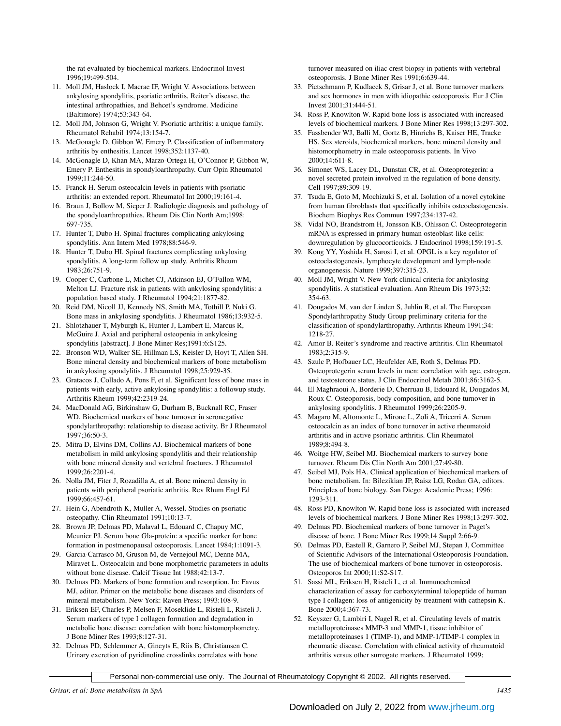the rat evaluated by biochemical markers. Endocrinol Invest 1996;19:499-504.

- 11. Moll JM, Haslock I, Macrae IF, Wright V. Associations between ankylosing spondylitis, psoriatic arthritis, Reiter's disease, the intestinal arthropathies, and Behcet's syndrome. Medicine (Baltimore) 1974;53:343-64.
- 12. Moll JM, Johnson G, Wright V. Psoriatic arthritis: a unique family. Rheumatol Rehabil 1974;13:154-7.
- 13. McGonagle D, Gibbon W, Emery P. Classification of inflammatory arthritis by enthesitis. Lancet 1998;352:1137-40.
- 14. McGonagle D, Khan MA, Marzo-Ortega H, O'Connor P, Gibbon W, Emery P. Enthesitis in spondyloarthropathy. Curr Opin Rheumatol 1999;11:244-50.
- 15. Franck H. Serum osteocalcin levels in patients with psoriatic arthritis: an extended report. Rheumatol Int 2000;19:161-4.
- 16. Braun J, Bollow M, Sieper J. Radiologic diagnosis and pathology of the spondyloarthropathies. Rheum Dis Clin North Am;1998: 697-735.
- 17. Hunter T, Dubo H. Spinal fractures complicating ankylosing spondylitis. Ann Intern Med 1978;88:546-9.
- 18. Hunter T, Dubo HI. Spinal fractures complicating ankylosing spondylitis. A long-term follow up study. Arthritis Rheum 1983;26:751-9.
- 19. Cooper C, Carbone L, Michet CJ, Atkinson EJ, O'Fallon WM, Melton LJ. Fracture risk in patients with ankylosing spondylitis: a population based study. J Rheumatol 1994;21:1877-82.
- 20. Reid DM, Nicoll JJ, Kennedy NS, Smith MA, Tothill P, Nuki G. Bone mass in ankylosing spondylitis. J Rheumatol 1986;13:932-5.
- 21. Shlotzhauer T, Myburgh K, Hunter J, Lambert E, Marcus R, McGuire J. Axial and peripheral osteopenia in ankylosing spondylitis [abstract]. J Bone Miner Res;1991:6:S125.
- 22. Bronson WD, Walker SE, Hillman LS, Keisler D, Hoyt T, Allen SH. Bone mineral density and biochemical markers of bone metabolism in ankylosing spondylitis. J Rheumatol 1998;25:929-35.
- 23. Gratacos J, Collado A, Pons F, et al. Significant loss of bone mass in patients with early, active ankylosing spondylitis: a followup study. Arthritis Rheum 1999;42:2319-24.
- 24. MacDonald AG, Birkinshaw G, Durham B, Bucknall RC, Fraser WD. Biochemical markers of bone turnover in seronegative spondylarthropathy: relationship to disease activity. Br J Rheumatol 1997;36:50-3.
- 25. Mitra D, Elvins DM, Collins AJ. Biochemical markers of bone metabolism in mild ankylosing spondylitis and their relationship with bone mineral density and vertebral fractures. J Rheumatol 1999;26:2201-4.
- 26. Nolla JM, Fiter J, Rozadilla A, et al. Bone mineral density in patients with peripheral psoriatic arthritis. Rev Rhum Engl Ed 1999;66:457-61.
- 27. Hein G, Abendroth K, Muller A, Wessel. Studies on psoriatic osteopathy. Clin Rheumatol 1991;10:13-7.
- 28. Brown JP, Delmas PD, Malaval L, Edouard C, Chapuy MC, Meunier PJ. Serum bone Gla-protein: a specific marker for bone formation in postmenopausal osteoporosis. Lancet 1984;1:1091-3.
- 29. Garcia-Carrasco M, Gruson M, de Vernejoul MC, Denne MA, Miravet L. Osteocalcin and bone morphometric parameters in adults without bone disease. Calcif Tissue Int 1988;42:13-7.
- 30. Delmas PD. Markers of bone formation and resorption. In: Favus MJ, editor. Primer on the metabolic bone diseases and disorders of mineral metabolism. New York: Raven Press; 1993:108-9.
- 31. Eriksen EF, Charles P, Melsen F, Moseklide L, Risteli L, Risteli J. Serum markers of type I collagen formation and degradation in metabolic bone disease: correlation with bone histomorphometry. J Bone Miner Res 1993;8:127-31.
- 32. Delmas PD, Schlemmer A, Gineyts E, Riis B, Christiansen C. Urinary excretion of pyridinoline crosslinks correlates with bone

turnover measured on iliac crest biopsy in patients with vertebral osteoporosis. J Bone Miner Res 1991;6:639-44.

- 33. Pietschmann P, Kudlacek S, Grisar J, et al. Bone turnover markers and sex hormones in men with idiopathic osteoporosis. Eur J Clin Invest 2001;31:444-51.
- 34. Ross P, Knowlton W. Rapid bone loss is associated with increased levels of biochemical markers. J Bone Miner Res 1998;13:297-302.
- 35. Fassbender WJ, Balli M, Gortz B, Hinrichs B, Kaiser HE, Tracke HS. Sex steroids, biochemical markers, bone mineral density and histomorphometry in male osteoporosis patients. In Vivo 2000;14:611-8.
- 36. Simonet WS, Lacey DL, Dunstan CR, et al. Osteoprotegerin: a novel secreted protein involved in the regulation of bone density. Cell 1997;89:309-19.
- 37. Tsuda E, Goto M, Mochizuki S, et al. Isolation of a novel cytokine from human fibroblasts that specifically inhibits osteoclastogenesis. Biochem Biophys Res Commun 1997;234:137-42.
- 38. Vidal NO, Brandstrom H, Jonsson KB, Ohlsson C. Osteoprotegerin mRNA is expressed in primary human osteoblast-like cells: downregulation by glucocorticoids. J Endocrinol 1998;159:191-5.
- 39. Kong YY, Yoshida H, Sarosi I, et al. OPGL is a key regulator of osteoclastogenesis, lymphocyte development and lymph-node organogenesis. Nature 1999;397:315-23.
- 40. Moll JM, Wright V. New York clinical criteria for ankylosing spondylitis. A statistical evaluation. Ann Rheum Dis 1973;32: 354-63.
- 41. Dougados M, van der Linden S, Juhlin R, et al. The European Spondylarthropathy Study Group preliminary criteria for the classification of spondylarthropathy. Arthritis Rheum 1991;34: 1218-27.
- 42. Amor B. Reiter's syndrome and reactive arthritis. Clin Rheumatol 1983;2:315-9.
- 43. Szulc P, Hofbauer LC, Heufelder AE, Roth S, Delmas PD. Osteoprotegerin serum levels in men: correlation with age, estrogen, and testosterone status. J Clin Endocrinol Metab 2001;86:3162-5.
- 44. El Maghraoui A, Borderie D, Cherruau B, Edouard R, Dougados M, Roux C. Osteoporosis, body composition, and bone turnover in ankylosing spondylitis. J Rheumatol 1999;26:2205-9.
- 45. Magaro M, Altomonte L, Mirone L, Zoli A, Tricerri A. Serum osteocalcin as an index of bone turnover in active rheumatoid arthritis and in active psoriatic arthritis. Clin Rheumatol 1989;8:494-8.
- 46. Woitge HW, Seibel MJ. Biochemical markers to survey bone turnover. Rheum Dis Clin North Am 2001;27:49-80.
- 47. Seibel MJ, Pols HA. Clinical application of biochemical markers of bone metabolism. In: Bilezikian JP, Raisz LG, Rodan GA, editors. Principles of bone biology. San Diego: Academic Press; 1996: 1293-311.
- 48. Ross PD, Knowlton W. Rapid bone loss is associated with increased levels of biochemical markers. J Bone Miner Res 1998;13:297-302.
- 49. Delmas PD. Biochemical markers of bone turnover in Paget's disease of bone. J Bone Miner Res 1999;14 Suppl 2:66-9.
- 50. Delmas PD, Eastell R, Garnero P, Seibel MJ, Stepan J, Committee of Scientific Advisors of the International Osteoporosis Foundation. The use of biochemical markers of bone turnover in osteoporosis. Osteoporos Int 2000;11:S2-S17.
- 51. Sassi ML, Eriksen H, Risteli L, et al. Immunochemical characterization of assay for carboxyterminal telopeptide of human type I collagen: loss of antigenicity by treatment with cathepsin K. Bone 2000;4:367-73.
- 52. Keyszer G, Lambiri I, Nagel R, et al. Circulating levels of matrix metalloproteinases MMP-3 and MMP-1, tissue inhibitor of metalloproteinases 1 (TIMP-1), and MMP-1/TIMP-1 complex in rheumatic disease. Correlation with clinical activity of rheumatoid arthritis versus other surrogate markers. J Rheumatol 1999;

Personal non-commercial use only. The Journal of Rheumatology Copyright © 2002. All rights reserved.